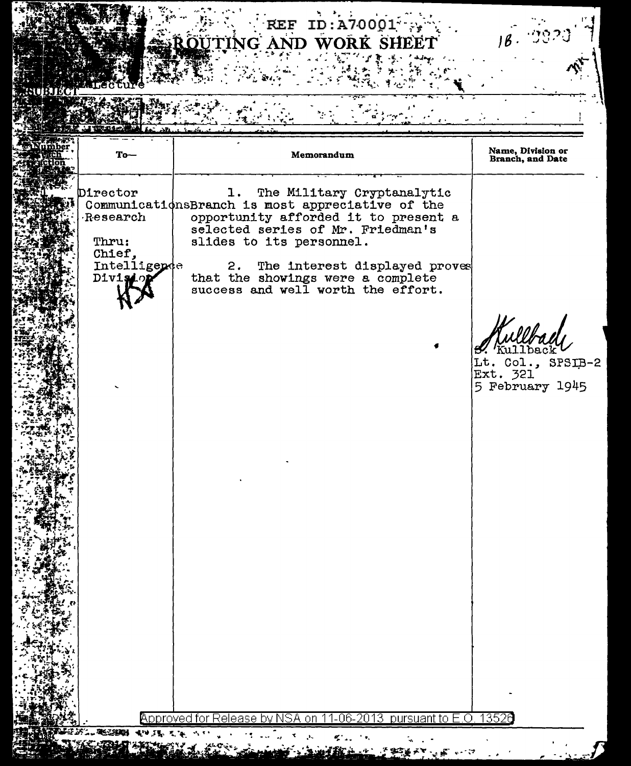## REF ID:A70001

| $To-$                  | Memorandum                                                               | Name, Division or<br>Branch, and Date |
|------------------------|--------------------------------------------------------------------------|---------------------------------------|
| Director               | The Military Cryptanalytic<br>ı.                                         |                                       |
|                        | CommunicationsBranch is most appreciative of the                         |                                       |
| Research               | opportunity afforded it to present a                                     |                                       |
|                        | selected series of Mr. Friedman's                                        |                                       |
| Thru:                  | slides to its personnel.                                                 |                                       |
| Chief.<br>Intelligende |                                                                          |                                       |
| Divisio                | The interest displayed proves<br>2.<br>that the showings were a complete |                                       |
|                        | success and well worth the effort.                                       |                                       |
|                        |                                                                          |                                       |
|                        |                                                                          |                                       |
|                        |                                                                          |                                       |
|                        |                                                                          |                                       |
|                        |                                                                          | Lt. Col., SPSIB-2                     |
|                        |                                                                          | Ext. 321                              |
|                        |                                                                          | 5 February 1945                       |
|                        |                                                                          |                                       |
|                        |                                                                          |                                       |
|                        |                                                                          |                                       |
|                        |                                                                          |                                       |
|                        |                                                                          |                                       |
|                        |                                                                          |                                       |
|                        |                                                                          |                                       |
|                        |                                                                          |                                       |
|                        |                                                                          |                                       |
|                        |                                                                          |                                       |
|                        |                                                                          |                                       |
|                        |                                                                          |                                       |
|                        |                                                                          |                                       |
|                        |                                                                          |                                       |
|                        |                                                                          |                                       |
|                        |                                                                          |                                       |
|                        |                                                                          |                                       |
|                        |                                                                          |                                       |
|                        |                                                                          |                                       |
|                        |                                                                          |                                       |
|                        |                                                                          |                                       |
|                        |                                                                          |                                       |

ም ምን